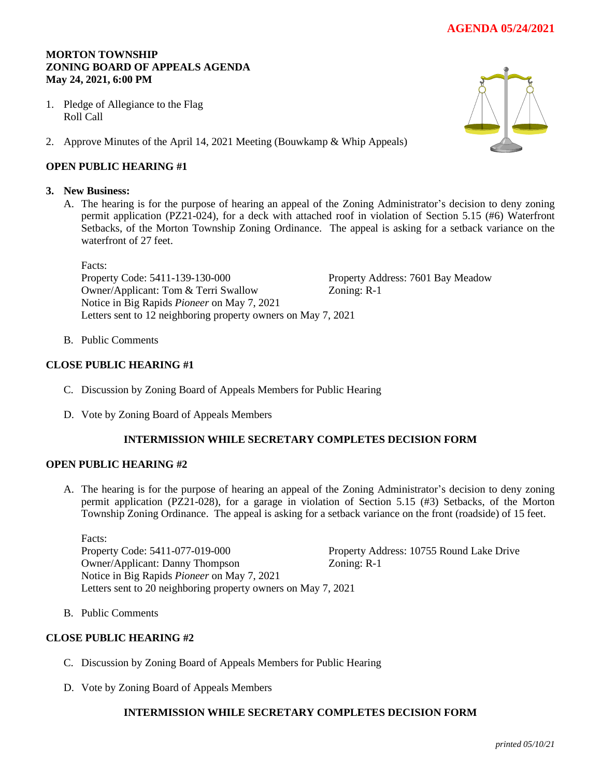# **AGENDA 05/24/2021**

## **MORTON TOWNSHIP ZONING BOARD OF APPEALS AGENDA May 24, 2021, 6:00 PM**

- 1. Pledge of Allegiance to the Flag Roll Call
- 2. Approve Minutes of the April 14, 2021 Meeting (Bouwkamp & Whip Appeals)

## **OPEN PUBLIC HEARING #1**

### **3. New Business:**

A. The hearing is for the purpose of hearing an appeal of the Zoning Administrator's decision to deny zoning permit application (PZ21-024), for a deck with attached roof in violation of Section 5.15 (#6) Waterfront Setbacks, of the Morton Township Zoning Ordinance. The appeal is asking for a setback variance on the waterfront of 27 feet.

Facts: Property Code: 5411-139-130-000 Property Address: 7601 Bay Meadow Owner/Applicant: Tom & Terri Swallow Zoning: R-1 Notice in Big Rapids *Pioneer* on May 7, 2021 Letters sent to 12 neighboring property owners on May 7, 2021

B. Public Comments

### **CLOSE PUBLIC HEARING #1**

- C. Discussion by Zoning Board of Appeals Members for Public Hearing
- D. Vote by Zoning Board of Appeals Members

### **INTERMISSION WHILE SECRETARY COMPLETES DECISION FORM**

#### **OPEN PUBLIC HEARING #2**

A. The hearing is for the purpose of hearing an appeal of the Zoning Administrator's decision to deny zoning permit application (PZ21-028), for a garage in violation of Section 5.15 (#3) Setbacks, of the Morton Township Zoning Ordinance. The appeal is asking for a setback variance on the front (roadside) of 15 feet.

Facts: Property Code: 5411-077-019-000 Property Address: 10755 Round Lake Drive Owner/Applicant: Danny Thompson Zoning: R-1 Notice in Big Rapids *Pioneer* on May 7, 2021 Letters sent to 20 neighboring property owners on May 7, 2021

B. Public Comments

### **CLOSE PUBLIC HEARING #2**

- C. Discussion by Zoning Board of Appeals Members for Public Hearing
- D. Vote by Zoning Board of Appeals Members

## **INTERMISSION WHILE SECRETARY COMPLETES DECISION FORM**